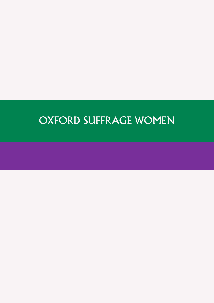# OXFORD SUFFRAGE WOMEN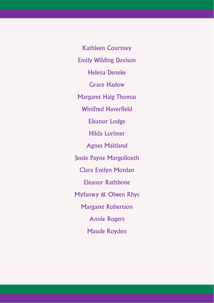Kathleen Courtney Emily Wilding Davison Helena Deneke Grace Hadow Margaret Haig Thomas Winifred Haverfield Eleanor Lodge Hilda Lorimer Agnes Maitland Jessie Payne Margoliouth Clara Evelyn Mordan Eleanor Rathbone Myfanwy & Olwen Rhys Margaret Robertson Annie Rogers Maude Royden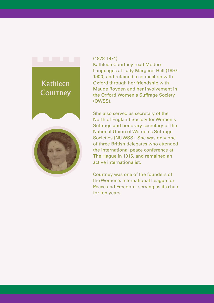## Kathleen **Courtney**



#### (1878-1974)

Kathleen Courtney read Modern Languages at Lady Margaret Hall (1897- 1900) and retained a connection with Oxford through her friendship with Maude Royden and her involvement in the Oxford Women's Suffrage Society (OWSS).

She also served as secretary of the North of England Society for Women's Suffrage and honorary secretary of the National Union of Women's Suffrage Societies (NUWSS). She was only one of three British delegates who attended the international peace conference at The Hague in 1915, and remained an active internationalist.

Courtney was one of the founders of the Women's International League for Peace and Freedom, serving as its chair for ten years.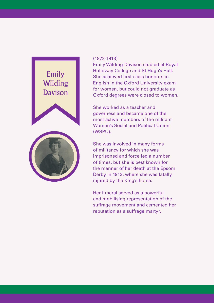## Emily **Wilding** Davison



#### (1872-1913)

Emily Wilding Davison studied at Royal Holloway College and St Hugh's Hall. She achieved first-class honours in English in the Oxford University exam for women, but could not graduate as Oxford degrees were closed to women.

She worked as a teacher and governess and became one of the most active members of the militant Women's Social and Political Union (WSPU).

She was involved in many forms of militancy for which she was imprisoned and force fed a number of times, but she is best known for the manner of her death at the Epsom Derby in 1913, where she was fatally injured by the King's horse.

Her funeral served as a powerful and mobilising representation of the suffrage movement and cemented her reputation as a suffrage martyr.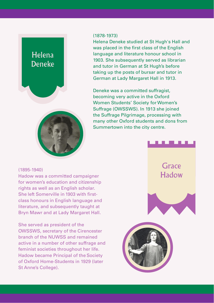## Helena Deneke



Helena Deneke studied at St Hugh's Hall and was placed in the first class of the English language and literature honour school in 1903. She subsequently served as librarian and tutor in German at St Hugh's before taking up the posts of bursar and tutor in German at Lady Margaret Hall in 1913.

Deneke was a committed suffragist, becoming very active in the Oxford Women Students' Society for Women's Suffrage (OWSSWS). In 1913 she joined the Suffrage Pilgrimage, processing with many other Oxford students and dons from Summertown into the city centre.



Hadow (1895-1940) Hadow was a committed campaigner for women's education and citizenship rights as well as an English scholar. She left Somerville in 1903 with firstclass honours in English language and literature, and subsequently taught at Bryn Mawr and at Lady Margaret Hall.

She served as president of the OWSSWS, secretary of the Cirencester branch of the NUWSS and remained active in a number of other suffrage and feminist societies throughout her life. Hadow became Principal of the Society of Oxford Home-Students in 1929 (later St Anne's College).



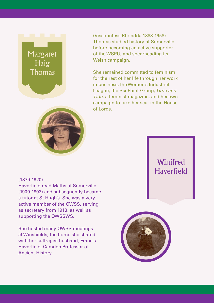## Margaret Haig **Thomas**



She remained committed to feminism for the rest of her life through her work in business, the Women's Industrial League, the Six Point Group, Time and Tide, a feminist magazine, and her own campaign to take her seat in the House of Lords.

#### (1879-1920)

Haverfield read Maths at Somerville (1900-1903) and subsequently became a tutor at St Hugh's. She was a very active member of the OWSS, serving as secretary from 1913, as well as supporting the OWSSWS.

She hosted many OWSS meetings at Winshields, the home she shared with her suffragist husband, Francis Haverfield, Camden Professor of Ancient History.

## **Winifred Haverfield**

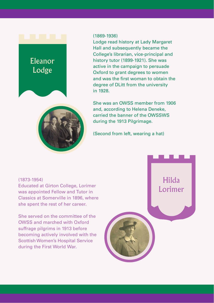# Eleanor Lodge

#### (1869-1936)

Lodge read history at Lady Margaret Hall and subsequently became the College's librarian, vice-principal and history tutor (1899-1921). She was active in the campaign to persuade Oxford to grant degrees to women and was the first woman to obtain the degree of DLitt from the university in 1928.



She was an OWSS member from 1906 and, according to Helena Deneke, carried the banner of the OWSSWS during the 1913 Pilgrimage.

(Second from left, wearing a hat)

### (1873-1954)

Educated at Girton College, Lorimer was appointed Fellow and Tutor in Classics at Somerville in 1896, where she spent the rest of her career.

She served on the committee of the OWSS and marched with Oxford suffrage pilgrims in 1913 before becoming actively involved with the Scottish Women's Hospital Service during the First World War.

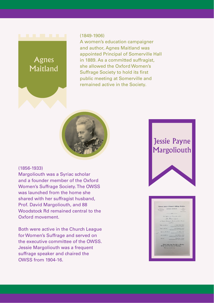## **Agnes** Maitland

#### (1849-1906)

A women's education campaigner and author, Agnes Maitland was appointed Principal of Somerville Hall in 1889. As a committed suffragist, she allowed the Oxford Women's Suffrage Society to hold its first public meeting at Somerville and remained active in the Society.



#### (1856-1933)

Margoliouth was a Syriac scholar and a founder member of the Oxford Women's Suffrage Society. The OWSS was launched from the home she shared with her suffragist husband, Prof. David Margoliouth, and 88 Woodstock Rd remained central to the Oxford movement.

Both were active in the Church League for Women's Suffrage and served on the executive committee of the OWSS. Jessie Margoliouth was a frequent suffrage speaker and chaired the OWSS from 1904-16.

## Jessie Payne Margoliouth



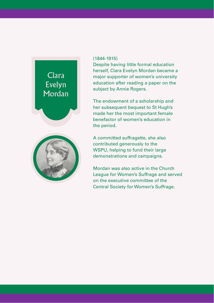## Clara Evelyn Mordan



Despite having little formal education herself, Clara Evelyn Mordan became a major supporter of women's university education after reading a paper on the subject by Annie Rogers.

The endowment of a scholarship and her subsequent bequest to St Hugh's made her the most important female benefactor of women's education in the period.



A committed suffragette, she also contributed generously to the WSPU, helping to fund their large demonstrations and campaigns.

Mordan was also active in the Church League for Women's Suffrage and served on the executive committee of the Central Society for Women's Suffrage.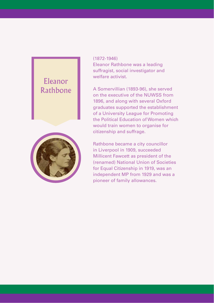## Eleanor Rathbone



#### (1872-1946)

Eleanor Rathbone was a leading suffragist, social investigator and welfare activist.

A Somervillian (1893-96), she served on the executive of the NUWSS from 1896, and along with several Oxford graduates supported the establishment of a University League for Promoting the Political Education of Women which would train women to organise for citizenship and suffrage.

Rathbone became a city councillor in Liverpool in 1909, succeeded Millicent Fawcett as president of the (renamed) National Union of Societies for Equal Citizenship in 1919, was an independent MP from 1929 and was a pioneer of family allowances.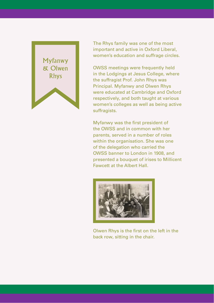

The Rhys family was one of the most important and active in Oxford Liberal, women's education and suffrage circles.

OWSS meetings were frequently held in the Lodgings at Jesus College, where the suffragist Prof. John Rhys was Principal. Myfanwy and Olwen Rhys were educated at Cambridge and Oxford respectively, and both taught at various women's colleges as well as being active suffragists.

Myfanwy was the first president of the OWSS and in common with her parents, served in a number of roles within the organisation. She was one of the delegation who carried the OWSS banner to London in 1908, and presented a bouquet of irises to Millicent Fawcett at the Albert Hall.



Olwen Rhys is the first on the left in the back row, sitting in the chair.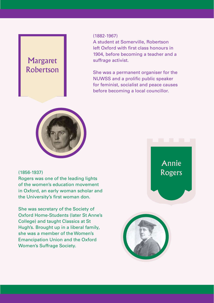## Margaret Robertson

#### (1882-1967)

A student at Somerville, Robertson left Oxford with first class honours in 1904, before becoming a teacher and a suffrage activist.

She was a permanent organiser for the NUWSS and a prolific public speaker for feminist, socialist and peace causes before becoming a local councillor.



#### (1856-1937)

Rogers was one of the leading lights of the women's education movement in Oxford, an early woman scholar and the University's first woman don.

She was secretary of the Society of Oxford Home-Students (later St Anne's College) and taught Classics at St Hugh's. Brought up in a liberal family, she was a member of the Women's Emancipation Union and the Oxford Women's Suffrage Society.

Annie Rogers

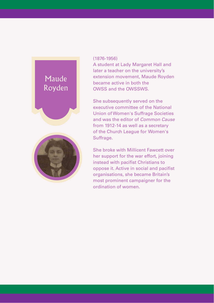## Maude Royden



#### (1876-1956)

A student at Lady Margaret Hall and later a teacher on the university's extension movement, Maude Royden became active in both the OWSS and the OWSSWS.

She subsequently served on the executive committee of the National Union of Women's Suffrage Societies and was the editor of Common Cause from 1912-14 as well as a secretary of the Church League for Women's Suffrage.

She broke with Millicent Fawcett over her support for the war effort, joining instead with pacifist Christians to oppose it. Active in social and pacifist organisations, she became Britain's most prominent campaigner for the ordination of women.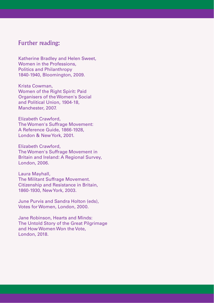## Further reading:

Katherine Bradley and Helen Sweet, Women in the Professions, Politics and Philanthropy 1840-1940, Bloomington, 2009.

Krista Cowman, Women of the Right Spirit: Paid Organisers of the Women's Social and Political Union, 1904-18, Manchester, 2007.

Elizabeth Crawford, The Women's Suffrage Movement: A Reference Guide, 1866-1928, London & New York, 2001.

Elizabeth Crawford, The Women's Suffrage Movement in Britain and Ireland: A Regional Survey, London, 2006.

Laura Mayhall, The Militant Suffrage Movement. Citizenship and Resistance in Britain, 1860-1930, New York, 2003.

June Purvis and Sandra Holton (eds), Votes for Women, London, 2000.

Jane Robinson, Hearts and Minds: The Untold Story of the Great Pilgrimage and How Women Won the Vote, London, 2018.